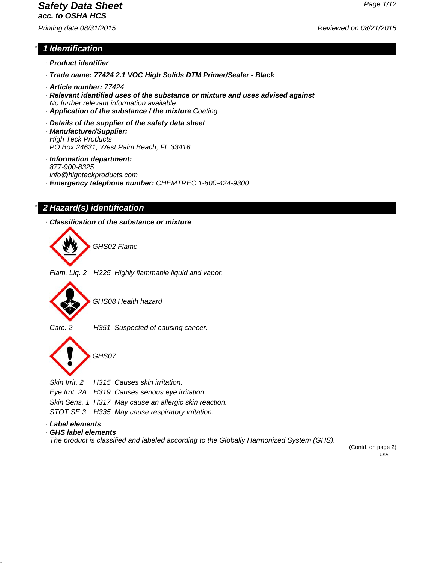# *Safety Data Sheet Page 1/12*

*acc. to OSHA HCS*

# *Printing date 08/31/2015 Reviewed on 08/21/2015*

# *\* 1 Identification*

- *· Product identifier*
- *· Trade name: 77424 2.1 VOC High Solids DTM Primer/Sealer Black*
- *· Article number: 77424*
- *· Relevant identified uses of the substance or mixture and uses advised against No further relevant information available.*
- *· Application of the substance / the mixture Coating*
- *· Details of the supplier of the safety data sheet*
- *· Manufacturer/Supplier: High Teck Products PO Box 24631, West Palm Beach, FL 33416*
- *· Information department: 877-900-8325 info@highteckproducts.com · Emergency telephone number: CHEMTREC 1-800-424-9300*

# *\* 2 Hazard(s) identification*

*· Classification of the substance or mixture*



(Contd. on page 2) USA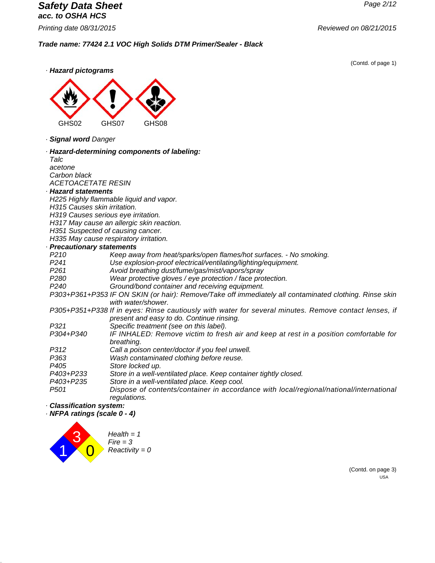# *Safety Data Sheet Page 2/12 acc. to OSHA HCS*

*Trade name: 77424 2.1 VOC High Solids DTM Primer/Sealer - Black*

(Contd. of page 1)





*· Signal word Danger*

#### *· Hazard-determining components of labeling:*

*Talc acetone Carbon black ACETOACETATE RESIN*

#### *· Hazard statements*

*H225 Highly flammable liquid and vapor.*

- *H315 Causes skin irritation.*
- *H319 Causes serious eye irritation.*

*H317 May cause an allergic skin reaction.*

*H351 Suspected of causing cancer.*

*H335 May cause respiratory irritation.*

### *· Precautionary statements*

| <b>Precautionary statements</b> |                                                                                                        |
|---------------------------------|--------------------------------------------------------------------------------------------------------|
| P210                            | Keep away from heat/sparks/open flames/hot surfaces. - No smoking.                                     |
| P <sub>241</sub>                | Use explosion-proof electrical/ventilating/lighting/equipment.                                         |
| P <sub>261</sub>                | Avoid breathing dust/fume/gas/mist/vapors/spray                                                        |
| P <sub>280</sub>                | Wear protective gloves / eye protection / face protection.                                             |
| P <sub>240</sub>                | Ground/bond container and receiving equipment.                                                         |
|                                 | P303+P361+P353 IF ON SKIN (or hair): Remove/Take off immediately all contaminated clothing. Rinse skin |
|                                 | with water/shower.                                                                                     |
|                                 | P305+P351+P338 If in eyes: Rinse cautiously with water for several minutes. Remove contact lenses, if  |
|                                 | present and easy to do. Continue rinsing.                                                              |
| P321                            | Specific treatment (see on this label).                                                                |
| P304+P340                       | IF INHALED: Remove victim to fresh air and keep at rest in a position comfortable for                  |
|                                 | breathing.                                                                                             |
| P312                            | Call a poison center/doctor if you feel unwell.                                                        |
| P363                            | Wash contaminated clothing before reuse.                                                               |
| P405                            | Store locked up.                                                                                       |
| P403+P233                       | Store in a well-ventilated place. Keep container tightly closed.                                       |
| P403+P235                       | Store in a well-ventilated place. Keep cool.                                                           |
| P501                            | Dispose of contents/container in accordance with local/regional/national/international<br>regulations. |

#### *· Classification system:*

*· NFPA ratings (scale 0 - 4)*



(Contd. on page 3) USA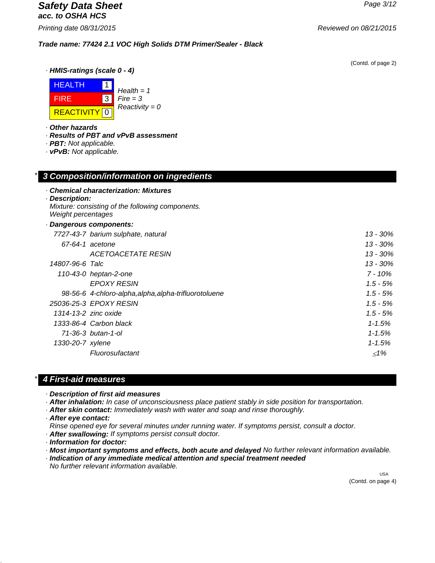## *Safety Data Sheet Page 3/12 acc. to OSHA HCS*

*Printing date 08/31/2015 Reviewed on 08/21/2015*

(Contd. of page 2)

*· HMIS-ratings (scale 0 - 4)*



*Fire = 3 Reactivity = 0*

*Trade name: 77424 2.1 VOC High Solids DTM Primer/Sealer - Black*

*· Other hazards*

*· Results of PBT and vPvB assessment*

*· Chemical characterization: Mixtures*

*\* 3 Composition/information on ingredients*

- *· PBT: Not applicable.*
- *· vPvB: Not applicable.*

| · Description:<br>Weight percentages | Mixture: consisting of the following components.      |            |
|--------------------------------------|-------------------------------------------------------|------------|
|                                      | Dangerous components:                                 |            |
|                                      | 7727-43-7 barium sulphate, natural                    | 13 - 30%   |
|                                      | 67-64-1 acetone                                       | 13 - 30%   |
|                                      | <i>ACETOACETATE RESIN</i>                             | 13 - 30%   |
| 14807-96-6 Talc                      |                                                       | 13 - 30%   |
|                                      | 110-43-0 heptan-2-one                                 | $7 - 10\%$ |
|                                      | <b>EPOXY RESIN</b>                                    | $1.5 - 5%$ |
|                                      | 98-56-6 4-chloro-alpha, alpha, alpha-trifluorotoluene | $1.5 - 5%$ |
|                                      | 25036-25-3 EPOXY RESIN                                | $1.5 - 5%$ |
| 1314-13-2 zinc oxide                 |                                                       | $1.5 - 5%$ |
|                                      | 1333-86-4 Carbon black                                | $1 - 1.5%$ |
|                                      | 71-36-3 butan-1-ol                                    | $1 - 1.5%$ |
| 1330-20-7 xylene                     |                                                       | $1 - 1.5%$ |
|                                      | Fluorosufactant                                       | ${<}1\%$   |
|                                      |                                                       |            |

# *\* 4 First-aid measures*

*· Description of first aid measures*

- *· After inhalation: In case of unconsciousness place patient stably in side position for transportation.*
- *· After skin contact: Immediately wash with water and soap and rinse thoroughly.*
- *· After eye contact:*

*Rinse opened eye for several minutes under running water. If symptoms persist, consult a doctor.*

*· After swallowing: If symptoms persist consult doctor.*

*· Information for doctor:*

- *· Most important symptoms and effects, both acute and delayed No further relevant information available.*
- *· Indication of any immediate medical attention and special treatment needed*

*No further relevant information available.*

 USA (Contd. on page 4)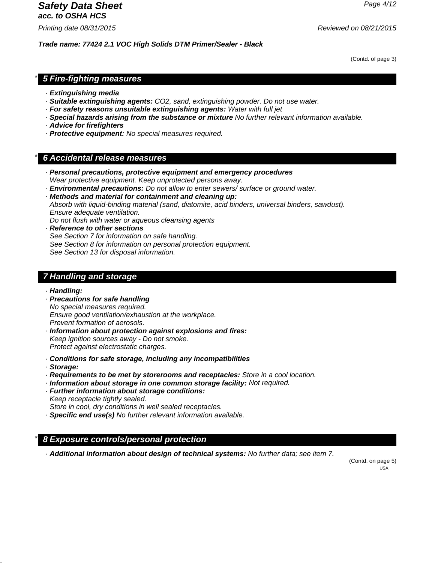# *Safety Data Sheet Page 4/12*

*acc. to OSHA HCS*

*Printing date 08/31/2015 Reviewed on 08/21/2015*

*Trade name: 77424 2.1 VOC High Solids DTM Primer/Sealer - Black*

(Contd. of page 3)

## *\* 5 Fire-fighting measures*

- *· Extinguishing media*
- *· Suitable extinguishing agents: CO2, sand, extinguishing powder. Do not use water.*
- *· For safety reasons unsuitable extinguishing agents: Water with full jet*
- *· Special hazards arising from the substance or mixture No further relevant information available.*
- *· Advice for firefighters*
- *· Protective equipment: No special measures required.*

# *\* 6 Accidental release measures*

- *· Personal precautions, protective equipment and emergency procedures Wear protective equipment. Keep unprotected persons away.*
- *· Environmental precautions: Do not allow to enter sewers/ surface or ground water.*
- *· Methods and material for containment and cleaning up: Absorb with liquid-binding material (sand, diatomite, acid binders, universal binders, sawdust). Ensure adequate ventilation.*

*Do not flush with water or aqueous cleansing agents*

*· Reference to other sections See Section 7 for information on safe handling. See Section 8 for information on personal protection equipment. See Section 13 for disposal information.*

# *7 Handling and storage*

- *· Handling:*
- *· Precautions for safe handling No special measures required. Ensure good ventilation/exhaustion at the workplace. Prevent formation of aerosols.*
- *· Information about protection against explosions and fires: Keep ignition sources away - Do not smoke. Protect against electrostatic charges.*
- *· Conditions for safe storage, including any incompatibilities*
- *· Storage:*
- *· Requirements to be met by storerooms and receptacles: Store in a cool location.*
- *· Information about storage in one common storage facility: Not required.*
- *· Further information about storage conditions: Keep receptacle tightly sealed.*

*Store in cool, dry conditions in well sealed receptacles.*

*· Specific end use(s) No further relevant information available.*

# *\* 8 Exposure controls/personal protection*

*· Additional information about design of technical systems: No further data; see item 7.*

(Contd. on page 5) USA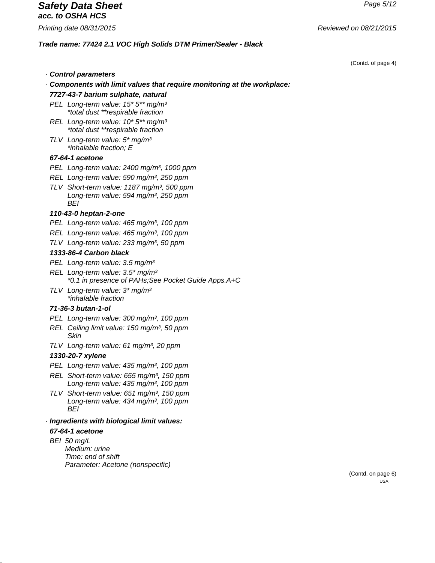# *Safety Data Sheet Page 5/12 acc. to OSHA HCS*

#### *Trade name: 77424 2.1 VOC High Solids DTM Primer/Sealer - Black*

(Contd. of page 4)

- *· Control parameters*
- *· Components with limit values that require monitoring at the workplace:*

#### *7727-43-7 barium sulphate, natural*

- *PEL Long-term value: 15\* 5\*\* mg/m³ \*total dust \*\*respirable fraction*
- *REL Long-term value: 10\* 5\*\* mg/m³ \*total dust \*\*respirable fraction*
- *TLV Long-term value: 5\* mg/m³ \*inhalable fraction; E*

#### *67-64-1 acetone*

- *PEL Long-term value: 2400 mg/m³, 1000 ppm*
- *REL Long-term value: 590 mg/m³, 250 ppm*
- *TLV Short-term value: 1187 mg/m³, 500 ppm Long-term value: 594 mg/m³, 250 ppm BEI*

#### *110-43-0 heptan-2-one*

*PEL Long-term value: 465 mg/m³, 100 ppm*

- *REL Long-term value: 465 mg/m³, 100 ppm*
- *TLV Long-term value: 233 mg/m³, 50 ppm*

#### *1333-86-4 Carbon black*

- *PEL Long-term value: 3.5 mg/m³*
- *REL Long-term value: 3.5\* mg/m³ \*0.1 in presence of PAHs;See Pocket Guide Apps.A+C*
- *TLV Long-term value: 3\* mg/m³ \*inhalable fraction*

#### *71-36-3 butan-1-ol*

- *PEL Long-term value: 300 mg/m³, 100 ppm*
- *REL Ceiling limit value: 150 mg/m³, 50 ppm Skin*
- *TLV Long-term value: 61 mg/m³, 20 ppm*

#### *1330-20-7 xylene*

- *PEL Long-term value: 435 mg/m³, 100 ppm*
- *REL Short-term value: 655 mg/m³, 150 ppm Long-term value: 435 mg/m³, 100 ppm*
- *TLV Short-term value: 651 mg/m³, 150 ppm Long-term value: 434 mg/m³, 100 ppm BEI*

# *· Ingredients with biological limit values:*

*67-64-1 acetone BEI 50 mg/L*

*Medium: urine Time: end of shift Parameter: Acetone (nonspecific)*

> (Contd. on page 6) USA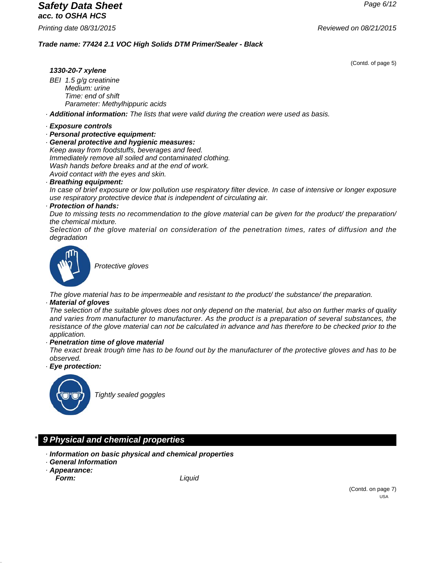# *Safety Data Sheet Page 6/12 acc. to OSHA HCS*

# *Trade name: 77424 2.1 VOC High Solids DTM Primer/Sealer - Black*

(Contd. of page 5)

### *1330-20-7 xylene*

*BEI 1.5 g/g creatinine Medium: urine Time: end of shift Parameter: Methylhippuric acids*

*· Additional information: The lists that were valid during the creation were used as basis.*

#### *· Exposure controls*

*· Personal protective equipment:*

*· General protective and hygienic measures: Keep away from foodstuffs, beverages and feed. Immediately remove all soiled and contaminated clothing. Wash hands before breaks and at the end of work. Avoid contact with the eyes and skin.*

#### *· Breathing equipment:*

*In case of brief exposure or low pollution use respiratory filter device. In case of intensive or longer exposure use respiratory protective device that is independent of circulating air.*

#### *· Protection of hands:*

*Due to missing tests no recommendation to the glove material can be given for the product/ the preparation/ the chemical mixture.*

*Selection of the glove material on consideration of the penetration times, rates of diffusion and the degradation*



*Protective gloves*

*The glove material has to be impermeable and resistant to the product/ the substance/ the preparation.*

#### *· Material of gloves*

*The selection of the suitable gloves does not only depend on the material, but also on further marks of quality and varies from manufacturer to manufacturer. As the product is a preparation of several substances, the resistance of the glove material can not be calculated in advance and has therefore to be checked prior to the application.*

#### *· Penetration time of glove material*

*The exact break trough time has to be found out by the manufacturer of the protective gloves and has to be observed.*

*· Eye protection:*



*Tightly sealed goggles*

# *\* 9 Physical and chemical properties*

- *· Information on basic physical and chemical properties*
- *· General Information*
- *· Appearance:*

*Form: Liquid*

(Contd. on page 7) USA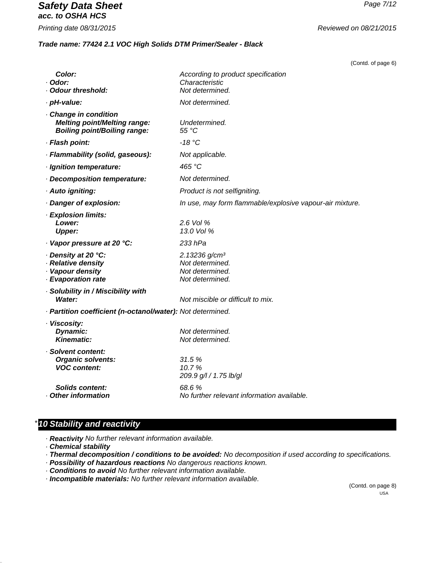# *Safety Data Sheet Page 7/12 acc. to OSHA HCS*

*Printing date 08/31/2015 Reviewed on 08/21/2015*

#### *Trade name: 77424 2.1 VOC High Solids DTM Primer/Sealer - Black*

(Contd. of page 6)

| <b>Color:</b><br>· Odor:<br>· Odour threshold:                                                    | According to product specification<br>Characteristic<br>Not determined.            |
|---------------------------------------------------------------------------------------------------|------------------------------------------------------------------------------------|
| · pH-value:                                                                                       | Not determined.                                                                    |
| Change in condition<br><b>Melting point/Melting range:</b><br><b>Boiling point/Boiling range:</b> | Undetermined.<br>55 °C                                                             |
| · Flash point:                                                                                    | $-18$ °C                                                                           |
| · Flammability (solid, gaseous):                                                                  | Not applicable.                                                                    |
| · Ignition temperature:                                                                           | 465 °C                                                                             |
| Decomposition temperature:                                                                        | Not determined.                                                                    |
| · Auto igniting:                                                                                  | Product is not selfigniting.                                                       |
| Danger of explosion:                                                                              | In use, may form flammable/explosive vapour-air mixture.                           |
| · Explosion limits:<br>Lower:<br><b>Upper:</b>                                                    | 2.6 Vol %<br>13.0 Vol %                                                            |
| · Vapor pressure at 20 °C:                                                                        | 233 hPa                                                                            |
| · Density at 20 °C:<br>· Relative density<br>· Vapour density<br>· Evaporation rate               | 2.13236 g/cm <sup>3</sup><br>Not determined.<br>Not determined.<br>Not determined. |
| · Solubility in / Miscibility with<br>Water:                                                      | Not miscible or difficult to mix.                                                  |
| · Partition coefficient (n-octanol/water): Not determined.                                        |                                                                                    |
| · Viscosity:<br>Dynamic:<br><b>Kinematic:</b>                                                     | Not determined.<br>Not determined.                                                 |
| · Solvent content:<br><b>Organic solvents:</b><br><b>VOC content:</b>                             | 31.5%<br>10.7%<br>209.9 g/l / 1.75 lb/gl                                           |
| <b>Solids content:</b><br>Other information                                                       | 68.6 %<br>No further relevant information available.                               |

# *\* 10 Stability and reactivity*

*· Reactivity No further relevant information available.*

*· Chemical stability*

- *· Thermal decomposition / conditions to be avoided: No decomposition if used according to specifications.*
- *· Possibility of hazardous reactions No dangerous reactions known.*
- *· Conditions to avoid No further relevant information available.*
- *· Incompatible materials: No further relevant information available.*

(Contd. on page 8) USA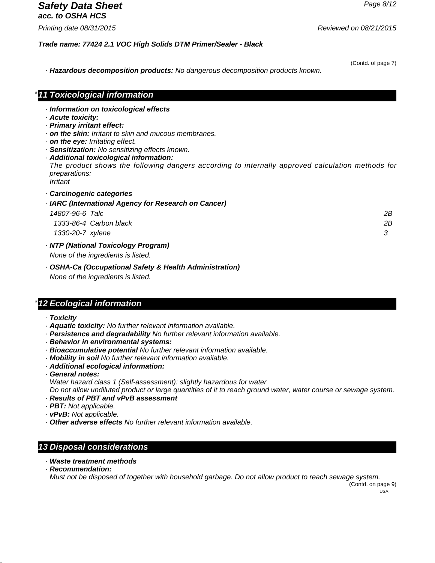### *Safety Data Sheet Page 8/12 acc. to OSHA HCS*

*\* 11 Toxicological information*

*Trade name: 77424 2.1 VOC High Solids DTM Primer/Sealer - Black*

(Contd. of page 7)

*· Hazardous decomposition products: No dangerous decomposition products known.*

| Information on toxicological effects<br>Acute toxicity:                                                                              |    |
|--------------------------------------------------------------------------------------------------------------------------------------|----|
| · Primary irritant effect:                                                                                                           |    |
| $\cdot$ on the skin: Irritant to skin and mucous membranes.                                                                          |    |
| . on the eye: Irritating effect.                                                                                                     |    |
| · Sensitization: No sensitizing effects known.                                                                                       |    |
| · Additional toxicological information:                                                                                              |    |
| The product shows the following dangers according to internally approved calculation methods for<br><i>preparations:</i><br>Irritant |    |
| Carcinogenic categories                                                                                                              |    |
| · IARC (International Agency for Research on Cancer)                                                                                 |    |
| 14807-96-6 Talc                                                                                                                      | 2Β |
| 1333-86-4 Carbon black                                                                                                               | 2Β |
| 1330-20-7 xylene                                                                                                                     | 3  |
| · NTP (National Toxicology Program)                                                                                                  |    |
| None of the ingredients is listed.                                                                                                   |    |

*· OSHA-Ca (Occupational Safety & Health Administration) None of the ingredients is listed.*

# *\* 12 Ecological information*

- *· Toxicity*
- *· Aquatic toxicity: No further relevant information available.*
- *· Persistence and degradability No further relevant information available.*
- *· Behavior in environmental systems:*
- *· Bioaccumulative potential No further relevant information available.*
- *· Mobility in soil No further relevant information available.*
- *· Additional ecological information:*
- *· General notes:*

*Water hazard class 1 (Self-assessment): slightly hazardous for water*

*Do not allow undiluted product or large quantities of it to reach ground water, water course or sewage system.*

- *· Results of PBT and vPvB assessment*
- *· PBT: Not applicable.*
- *· vPvB: Not applicable.*
- *· Other adverse effects No further relevant information available.*

# *13 Disposal considerations*

- *· Waste treatment methods*
- *· Recommendation:*

*Must not be disposed of together with household garbage. Do not allow product to reach sewage system.*

(Contd. on page 9)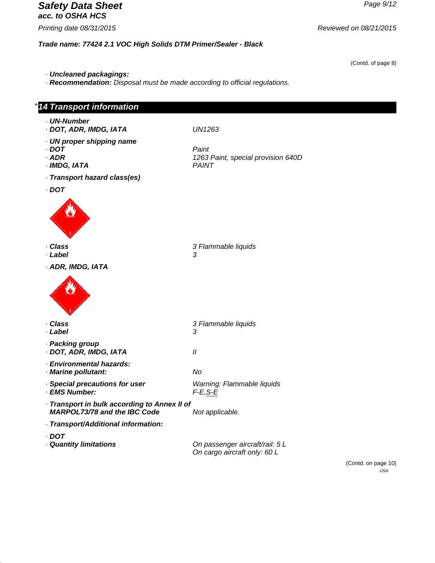# *Safety Data Sheet Page 9/12 acc. to OSHA HCS*

*Printing date 08/31/2015 Reviewed on 08/21/2015*

*Trade name: 77424 2.1 VOC High Solids DTM Primer/Sealer - Black*

(Contd. of page 8)

USA

- *· Uncleaned packagings:*
- *· Recommendation: Disposal must be made according to official regulations.*

| <b>14 Transport information</b>                                                     |                                                                                        |
|-------------------------------------------------------------------------------------|----------------------------------------------------------------------------------------|
| · UN-Number<br>· DOT, ADR, IMDG, IATA                                               | <b>UN1263</b>                                                                          |
| · UN proper shipping name<br>$\cdot$ DOT<br>$·$ ADR<br>· IMDG, IATA                 | Paint<br>1263 Paint, special provision 640D<br>PAINT                                   |
| · Transport hazard class(es)                                                        |                                                                                        |
| $\cdot$ DOT                                                                         |                                                                                        |
|                                                                                     |                                                                                        |
| · Class                                                                             | 3 Flammable liquids                                                                    |
| · Label<br>· ADR, IMDG, IATA                                                        | 3                                                                                      |
|                                                                                     |                                                                                        |
| · Class<br>· Label                                                                  | 3 Flammable liquids<br>3                                                               |
| · Packing group<br>· DOT, ADR, IMDG, IATA                                           | $^{\prime\prime}$                                                                      |
| · Environmental hazards:<br>· Marine pollutant:                                     | No                                                                                     |
| · Special precautions for user<br>· EMS Number:                                     | Warning: Flammable liquids<br>$F-E$ , $S-E$                                            |
| · Transport in bulk according to Annex II of<br><b>MARPOL73/78 and the IBC Code</b> | Not applicable.                                                                        |
| · Transport/Additional information:                                                 |                                                                                        |
| $\cdot$ DOT<br>· Quantity limitations                                               | On passenger aircraft/rail: 5 L<br>On cargo aircraft only: 60 L<br>(Contd. on page 10) |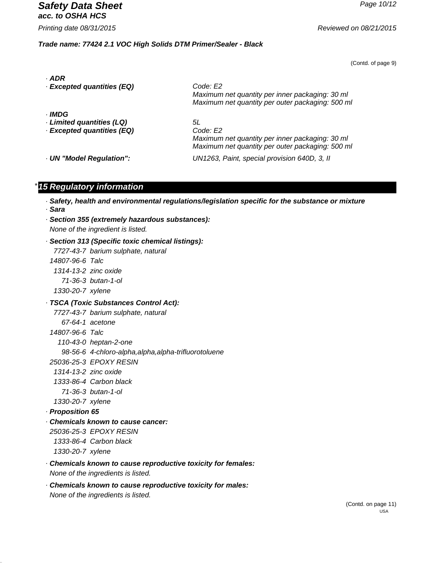*Safety Data Sheet Page 10/12 acc. to OSHA HCS*

*Printing date 08/31/2015 Reviewed on 08/21/2015*

#### *Trade name: 77424 2.1 VOC High Solids DTM Primer/Sealer - Black*

(Contd. of page 9)

| · ADR<br>· Excepted quantities (EQ)                               | Code: E2<br>Maximum net quantity per inner packaging: 30 ml<br>Maximum net quantity per outer packaging: 500 ml       |
|-------------------------------------------------------------------|-----------------------------------------------------------------------------------------------------------------------|
| · IMDG<br>· Limited quantities (LQ)<br>· Excepted quantities (EQ) | 5L<br>Code: E2<br>Maximum net quantity per inner packaging: 30 ml<br>Maximum net quantity per outer packaging: 500 ml |
| · UN "Model Regulation":                                          | UN1263, Paint, special provision 640D, 3, II                                                                          |

# *\* 15 Regulatory information*

- *· Safety, health and environmental regulations/legislation specific for the substance or mixture · Sara*
- *· Section 355 (extremely hazardous substances): None of the ingredient is listed.*
- *· Section 313 (Specific toxic chemical listings):*
	- *7727-43-7 barium sulphate, natural*
- *14807-96-6 Talc*
- *1314-13-2 zinc oxide*
- *71-36-3 butan-1-ol*
- *1330-20-7 xylene*
- *· TSCA (Toxic Substances Control Act):*
	- *7727-43-7 barium sulphate, natural*
		- *67-64-1 acetone*
- *14807-96-6 Talc*
	- *110-43-0 heptan-2-one*
	- *98-56-6 4-chloro-alpha,alpha,alpha-trifluorotoluene*
- *25036-25-3 EPOXY RESIN*
- *1314-13-2 zinc oxide*
- *1333-86-4 Carbon black*
- *71-36-3 butan-1-ol*
- *1330-20-7 xylene*
- *· Proposition 65*
- *· Chemicals known to cause cancer:*
- *25036-25-3 EPOXY RESIN 1333-86-4 Carbon black*
- *1330-20-7 xylene*
- *· Chemicals known to cause reproductive toxicity for females: None of the ingredients is listed.*
- *· Chemicals known to cause reproductive toxicity for males: None of the ingredients is listed.*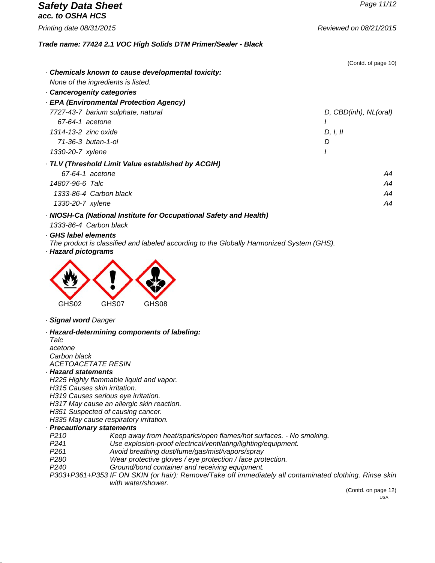| <b>Safety Data Sheet</b><br>acc. to OSHA HCS                       | Page 11/12             |
|--------------------------------------------------------------------|------------------------|
| Printing date 08/31/2015                                           | Reviewed on 08/21/2015 |
| Trade name: 77424 2.1 VOC High Solids DTM Primer/Sealer - Black    |                        |
|                                                                    | (Contd. of page 10)    |
| Chemicals known to cause developmental toxicity:                   |                        |
| None of the ingredients is listed.                                 |                        |
| Cancerogenity categories                                           |                        |
| - EPA (Environmental Protection Agency)                            |                        |
| 7727-43-7 barium sulphate, natural                                 | D, CBD(inh), NL(oral)  |
| 67-64-1 acetone                                                    |                        |
| 1314-13-2 zinc oxide                                               | D. I. II               |
| 71-36-3 butan-1-ol                                                 | D                      |
| 1330-20-7 xylene                                                   |                        |
| · TLV (Threshold Limit Value established by ACGIH)                 |                        |
| 67-64-1 acetone                                                    | A4                     |
| 14807-96-6 Talc                                                    | A4                     |
| 1333-86-4 Carbon black                                             | A4                     |
| 1330-20-7 xylene                                                   | A4                     |
| · NIOSH-Ca (National Institute for Occupational Safety and Health) |                        |
| 1333-86-4 Carbon black                                             |                        |

- *· GHS label elements*
- *The product is classified and labeled according to the Globally Harmonized System (GHS).*
- *· Hazard pictograms*



*· Signal word Danger*

#### *· Hazard-determining components of labeling:*

*Talc acetone Carbon black ACETOACETATE RESIN*

#### *· Hazard statements*

*H225 Highly flammable liquid and vapor.*

*H315 Causes skin irritation.*

*H319 Causes serious eye irritation.*

*H317 May cause an allergic skin reaction.*

*H351 Suspected of causing cancer.*

*H335 May cause respiratory irritation.*

#### *· Precautionary statements*

*P210 Keep away from heat/sparks/open flames/hot surfaces. - No smoking.*

*P241 Use explosion-proof electrical/ventilating/lighting/equipment.*

*P261 Avoid breathing dust/fume/gas/mist/vapors/spray*

*P280 Wear protective gloves / eye protection / face protection.*

*P240 Ground/bond container and receiving equipment.*

*P303+P361+P353 IF ON SKIN (or hair): Remove/Take off immediately all contaminated clothing. Rinse skin with water/shower.*

(Contd. on page 12) USA